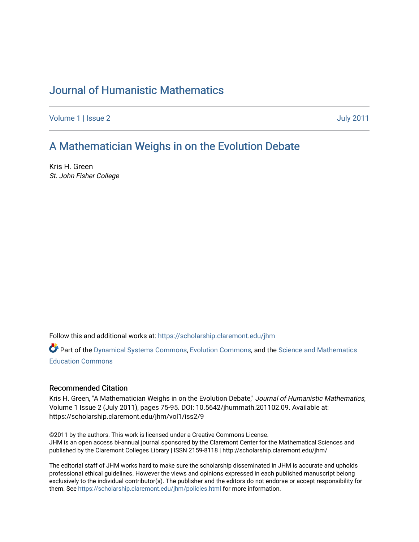# [Journal of Humanistic Mathematics](https://scholarship.claremont.edu/jhm)

[Volume 1](https://scholarship.claremont.edu/jhm/vol1) | [Issue 2](https://scholarship.claremont.edu/jhm/vol1/iss2) [July 2011](https://scholarship.claremont.edu/jhm/vol1/iss2) 

# [A Mathematician Weighs in on the Evolution Debate](https://scholarship.claremont.edu/jhm/vol1/iss2/9)

Kris H. Green St. John Fisher College

Follow this and additional works at: [https://scholarship.claremont.edu/jhm](https://scholarship.claremont.edu/jhm?utm_source=scholarship.claremont.edu%2Fjhm%2Fvol1%2Fiss2%2F9&utm_medium=PDF&utm_campaign=PDFCoverPages)

Part of the [Dynamical Systems Commons](http://network.bepress.com/hgg/discipline/179?utm_source=scholarship.claremont.edu%2Fjhm%2Fvol1%2Fiss2%2F9&utm_medium=PDF&utm_campaign=PDFCoverPages), [Evolution Commons](http://network.bepress.com/hgg/discipline/18?utm_source=scholarship.claremont.edu%2Fjhm%2Fvol1%2Fiss2%2F9&utm_medium=PDF&utm_campaign=PDFCoverPages), and the [Science and Mathematics](http://network.bepress.com/hgg/discipline/800?utm_source=scholarship.claremont.edu%2Fjhm%2Fvol1%2Fiss2%2F9&utm_medium=PDF&utm_campaign=PDFCoverPages)  [Education Commons](http://network.bepress.com/hgg/discipline/800?utm_source=scholarship.claremont.edu%2Fjhm%2Fvol1%2Fiss2%2F9&utm_medium=PDF&utm_campaign=PDFCoverPages) 

# Recommended Citation

Kris H. Green, "A Mathematician Weighs in on the Evolution Debate," Journal of Humanistic Mathematics, Volume 1 Issue 2 (July 2011), pages 75-95. DOI: 10.5642/jhummath.201102.09. Available at: https://scholarship.claremont.edu/jhm/vol1/iss2/9

©2011 by the authors. This work is licensed under a Creative Commons License. JHM is an open access bi-annual journal sponsored by the Claremont Center for the Mathematical Sciences and published by the Claremont Colleges Library | ISSN 2159-8118 | http://scholarship.claremont.edu/jhm/

The editorial staff of JHM works hard to make sure the scholarship disseminated in JHM is accurate and upholds professional ethical guidelines. However the views and opinions expressed in each published manuscript belong exclusively to the individual contributor(s). The publisher and the editors do not endorse or accept responsibility for them. See<https://scholarship.claremont.edu/jhm/policies.html> for more information.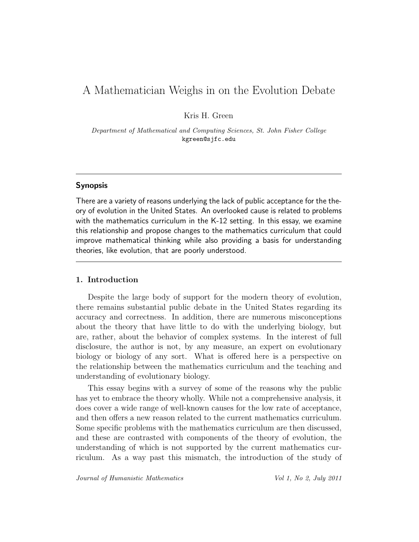# A Mathematician Weighs in on the Evolution Debate

Kris H. Green

Department of Mathematical and Computing Sciences, St. John Fisher College kgreen@sjfc.edu

# Synopsis

There are a variety of reasons underlying the lack of public acceptance for the theory of evolution in the United States. An overlooked cause is related to problems with the mathematics curriculum in the K-12 setting. In this essay, we examine this relationship and propose changes to the mathematics curriculum that could improve mathematical thinking while also providing a basis for understanding theories, like evolution, that are poorly understood.

### 1. Introduction

Despite the large body of support for the modern theory of evolution, there remains substantial public debate in the United States regarding its accuracy and correctness. In addition, there are numerous misconceptions about the theory that have little to do with the underlying biology, but are, rather, about the behavior of complex systems. In the interest of full disclosure, the author is not, by any measure, an expert on evolutionary biology or biology of any sort. What is offered here is a perspective on the relationship between the mathematics curriculum and the teaching and understanding of evolutionary biology.

This essay begins with a survey of some of the reasons why the public has yet to embrace the theory wholly. While not a comprehensive analysis, it does cover a wide range of well-known causes for the low rate of acceptance, and then offers a new reason related to the current mathematics curriculum. Some specific problems with the mathematics curriculum are then discussed, and these are contrasted with components of the theory of evolution, the understanding of which is not supported by the current mathematics curriculum. As a way past this mismatch, the introduction of the study of

Journal of Humanistic Mathematics Vol 1, No 2, July 2011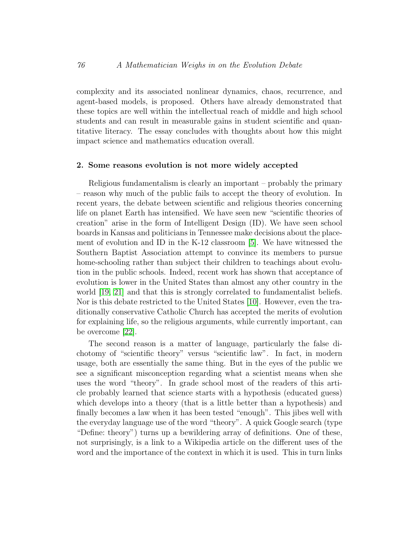complexity and its associated nonlinear dynamics, chaos, recurrence, and agent-based models, is proposed. Others have already demonstrated that these topics are well within the intellectual reach of middle and high school students and can result in measurable gains in student scientific and quantitative literacy. The essay concludes with thoughts about how this might impact science and mathematics education overall.

# 2. Some reasons evolution is not more widely accepted

Religious fundamentalism is clearly an important – probably the primary – reason why much of the public fails to accept the theory of evolution. In recent years, the debate between scientific and religious theories concerning life on planet Earth has intensified. We have seen new "scientific theories of creation" arise in the form of Intelligent Design (ID). We have seen school boards in Kansas and politicians in Tennessee make decisions about the placement of evolution and ID in the K-12 classroom [\[5\]](#page-19-0). We have witnessed the Southern Baptist Association attempt to convince its members to pursue home-schooling rather than subject their children to teachings about evolution in the public schools. Indeed, recent work has shown that acceptance of evolution is lower in the United States than almost any other country in the world [\[19,](#page-20-0) [21\]](#page-20-1) and that this is strongly correlated to fundamentalist beliefs. Nor is this debate restricted to the United States [\[10\]](#page-19-1). However, even the traditionally conservative Catholic Church has accepted the merits of evolution for explaining life, so the religious arguments, while currently important, can be overcome [\[22\]](#page-20-2).

The second reason is a matter of language, particularly the false dichotomy of "scientific theory" versus "scientific law". In fact, in modern usage, both are essentially the same thing. But in the eyes of the public we see a significant misconception regarding what a scientist means when she uses the word "theory". In grade school most of the readers of this article probably learned that science starts with a hypothesis (educated guess) which develops into a theory (that is a little better than a hypothesis) and finally becomes a law when it has been tested "enough". This jibes well with the everyday language use of the word "theory". A quick Google search (type "Define: theory") turns up a bewildering array of definitions. One of these, not surprisingly, is a link to a Wikipedia article on the different uses of the word and the importance of the context in which it is used. This in turn links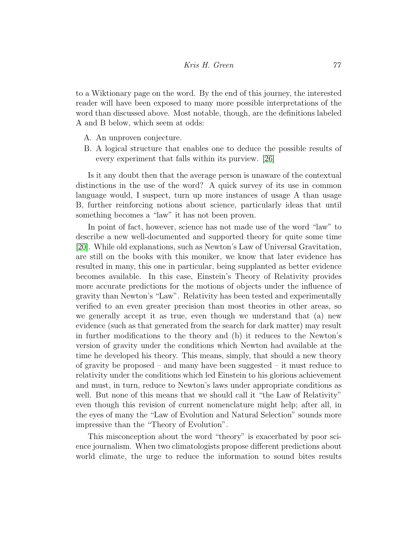to a Wiktionary page on the word. By the end of this journey, the interested reader will have been exposed to many more possible interpretations of the word than discussed above. Most notable, though, are the definitions labeled A and B below, which seem at odds:

- A. An unproven conjecture.
- B. A logical structure that enables one to deduce the possible results of every experiment that falls within its purview. [\[26\]](#page-21-0)

Is it any doubt then that the average person is unaware of the contextual distinctions in the use of the word? A quick survey of its use in common language would, I suspect, turn up more instances of usage A than usage B, further reinforcing notions about science, particularly ideas that until something becomes a "law" it has not been proven.

In point of fact, however, science has not made use of the word "law" to describe a new well-documented and supported theory for quite some time [\[20\]](#page-20-3). While old explanations, such as Newton's Law of Universal Gravitation, are still on the books with this moniker, we know that later evidence has resulted in many, this one in particular, being supplanted as better evidence becomes available. In this case, Einstein's Theory of Relativity provides more accurate predictions for the motions of objects under the influence of gravity than Newton's "Law". Relativity has been tested and experimentally verified to an even greater precision than most theories in other areas, so we generally accept it as true, even though we understand that (a) new evidence (such as that generated from the search for dark matter) may result in further modifications to the theory and (b) it reduces to the Newton's version of gravity under the conditions which Newton had available at the time he developed his theory. This means, simply, that should a new theory of gravity be proposed – and many have been suggested – it must reduce to relativity under the conditions which led Einstein to his glorious achievement and must, in turn, reduce to Newton's laws under appropriate conditions as well. But none of this means that we should call it "the Law of Relativity" even though this revision of current nomenclature might help; after all, in the eyes of many the "Law of Evolution and Natural Selection" sounds more impressive than the "Theory of Evolution".

This misconception about the word "theory" is exacerbated by poor science journalism. When two climatologists propose different predictions about world climate, the urge to reduce the information to sound bites results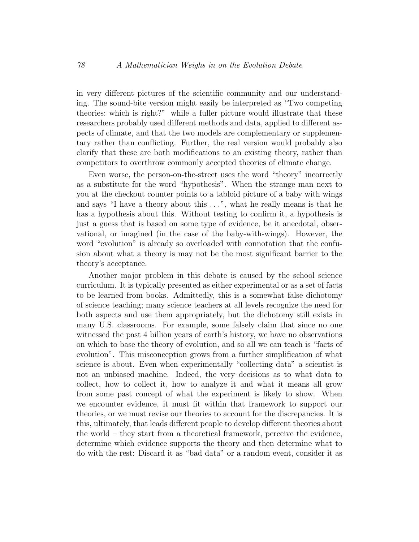in very different pictures of the scientific community and our understanding. The sound-bite version might easily be interpreted as "Two competing theories: which is right?" while a fuller picture would illustrate that these researchers probably used different methods and data, applied to different aspects of climate, and that the two models are complementary or supplementary rather than conflicting. Further, the real version would probably also clarify that these are both modifications to an existing theory, rather than competitors to overthrow commonly accepted theories of climate change.

Even worse, the person-on-the-street uses the word "theory" incorrectly as a substitute for the word "hypothesis". When the strange man next to you at the checkout counter points to a tabloid picture of a baby with wings and says "I have a theory about this ...", what he really means is that he has a hypothesis about this. Without testing to confirm it, a hypothesis is just a guess that is based on some type of evidence, be it anecdotal, observational, or imagined (in the case of the baby-with-wings). However, the word "evolution" is already so overloaded with connotation that the confusion about what a theory is may not be the most significant barrier to the theory's acceptance.

Another major problem in this debate is caused by the school science curriculum. It is typically presented as either experimental or as a set of facts to be learned from books. Admittedly, this is a somewhat false dichotomy of science teaching; many science teachers at all levels recognize the need for both aspects and use them appropriately, but the dichotomy still exists in many U.S. classrooms. For example, some falsely claim that since no one witnessed the past 4 billion years of earth's history, we have no observations on which to base the theory of evolution, and so all we can teach is "facts of evolution". This misconception grows from a further simplification of what science is about. Even when experimentally "collecting data" a scientist is not an unbiased machine. Indeed, the very decisions as to what data to collect, how to collect it, how to analyze it and what it means all grow from some past concept of what the experiment is likely to show. When we encounter evidence, it must fit within that framework to support our theories, or we must revise our theories to account for the discrepancies. It is this, ultimately, that leads different people to develop different theories about the world – they start from a theoretical framework, perceive the evidence, determine which evidence supports the theory and then determine what to do with the rest: Discard it as "bad data" or a random event, consider it as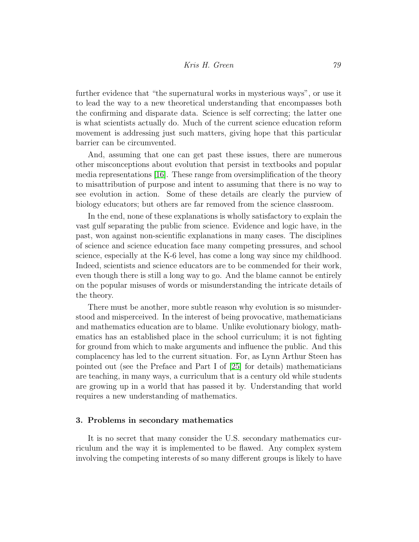further evidence that "the supernatural works in mysterious ways", or use it to lead the way to a new theoretical understanding that encompasses both the confirming and disparate data. Science is self correcting; the latter one is what scientists actually do. Much of the current science education reform movement is addressing just such matters, giving hope that this particular barrier can be circumvented.

And, assuming that one can get past these issues, there are numerous other misconceptions about evolution that persist in textbooks and popular media representations [\[16\]](#page-20-4). These range from oversimplification of the theory to misattribution of purpose and intent to assuming that there is no way to see evolution in action. Some of these details are clearly the purview of biology educators; but others are far removed from the science classroom.

In the end, none of these explanations is wholly satisfactory to explain the vast gulf separating the public from science. Evidence and logic have, in the past, won against non-scientific explanations in many cases. The disciplines of science and science education face many competing pressures, and school science, especially at the K-6 level, has come a long way since my childhood. Indeed, scientists and science educators are to be commended for their work, even though there is still a long way to go. And the blame cannot be entirely on the popular misuses of words or misunderstanding the intricate details of the theory.

There must be another, more subtle reason why evolution is so misunderstood and misperceived. In the interest of being provocative, mathematicians and mathematics education are to blame. Unlike evolutionary biology, mathematics has an established place in the school curriculum; it is not fighting for ground from which to make arguments and influence the public. And this complacency has led to the current situation. For, as Lynn Arthur Steen has pointed out (see the Preface and Part I of [\[25\]](#page-20-5) for details) mathematicians are teaching, in many ways, a curriculum that is a century old while students are growing up in a world that has passed it by. Understanding that world requires a new understanding of mathematics.

#### 3. Problems in secondary mathematics

It is no secret that many consider the U.S. secondary mathematics curriculum and the way it is implemented to be flawed. Any complex system involving the competing interests of so many different groups is likely to have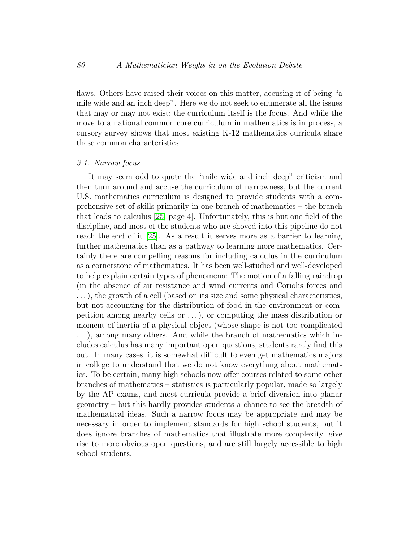flaws. Others have raised their voices on this matter, accusing it of being "a mile wide and an inch deep". Here we do not seek to enumerate all the issues that may or may not exist; the curriculum itself is the focus. And while the move to a national common core curriculum in mathematics is in process, a cursory survey shows that most existing K-12 mathematics curricula share these common characteristics.

# 3.1. Narrow focus

It may seem odd to quote the "mile wide and inch deep" criticism and then turn around and accuse the curriculum of narrowness, but the current U.S. mathematics curriculum is designed to provide students with a comprehensive set of skills primarily in one branch of mathematics – the branch that leads to calculus [\[25,](#page-20-5) page 4]. Unfortunately, this is but one field of the discipline, and most of the students who are shoved into this pipeline do not reach the end of it [\[25\]](#page-20-5). As a result it serves more as a barrier to learning further mathematics than as a pathway to learning more mathematics. Certainly there are compelling reasons for including calculus in the curriculum as a cornerstone of mathematics. It has been well-studied and well-developed to help explain certain types of phenomena: The motion of a falling raindrop (in the absence of air resistance and wind currents and Coriolis forces and . . . ), the growth of a cell (based on its size and some physical characteristics, but not accounting for the distribution of food in the environment or competition among nearby cells or . . . ), or computing the mass distribution or moment of inertia of a physical object (whose shape is not too complicated ...), among many others. And while the branch of mathematics which includes calculus has many important open questions, students rarely find this out. In many cases, it is somewhat difficult to even get mathematics majors in college to understand that we do not know everything about mathematics. To be certain, many high schools now offer courses related to some other branches of mathematics – statistics is particularly popular, made so largely by the AP exams, and most curricula provide a brief diversion into planar geometry – but this hardly provides students a chance to see the breadth of mathematical ideas. Such a narrow focus may be appropriate and may be necessary in order to implement standards for high school students, but it does ignore branches of mathematics that illustrate more complexity, give rise to more obvious open questions, and are still largely accessible to high school students.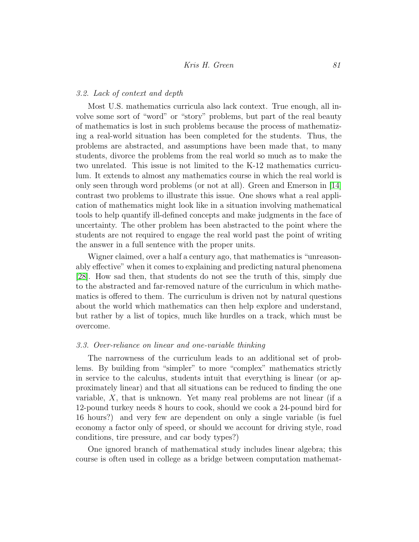# 3.2. Lack of context and depth

Most U.S. mathematics curricula also lack context. True enough, all involve some sort of "word" or "story" problems, but part of the real beauty of mathematics is lost in such problems because the process of mathematizing a real-world situation has been completed for the students. Thus, the problems are abstracted, and assumptions have been made that, to many students, divorce the problems from the real world so much as to make the two unrelated. This issue is not limited to the K-12 mathematics curriculum. It extends to almost any mathematics course in which the real world is only seen through word problems (or not at all). Green and Emerson in [\[14\]](#page-19-2) contrast two problems to illustrate this issue. One shows what a real application of mathematics might look like in a situation involving mathematical tools to help quantify ill-defined concepts and make judgments in the face of uncertainty. The other problem has been abstracted to the point where the students are not required to engage the real world past the point of writing the answer in a full sentence with the proper units.

Wigner claimed, over a half a century ago, that mathematics is "unreasonably effective" when it comes to explaining and predicting natural phenomena [\[28\]](#page-21-1). How sad then, that students do not see the truth of this, simply due to the abstracted and far-removed nature of the curriculum in which mathematics is offered to them. The curriculum is driven not by natural questions about the world which mathematics can then help explore and understand, but rather by a list of topics, much like hurdles on a track, which must be overcome.

#### 3.3. Over-reliance on linear and one-variable thinking

The narrowness of the curriculum leads to an additional set of problems. By building from "simpler" to more "complex" mathematics strictly in service to the calculus, students intuit that everything is linear (or approximately linear) and that all situations can be reduced to finding the one variable,  $X$ , that is unknown. Yet many real problems are not linear (if a 12-pound turkey needs 8 hours to cook, should we cook a 24-pound bird for 16 hours?) and very few are dependent on only a single variable (is fuel economy a factor only of speed, or should we account for driving style, road conditions, tire pressure, and car body types?)

One ignored branch of mathematical study includes linear algebra; this course is often used in college as a bridge between computation mathemat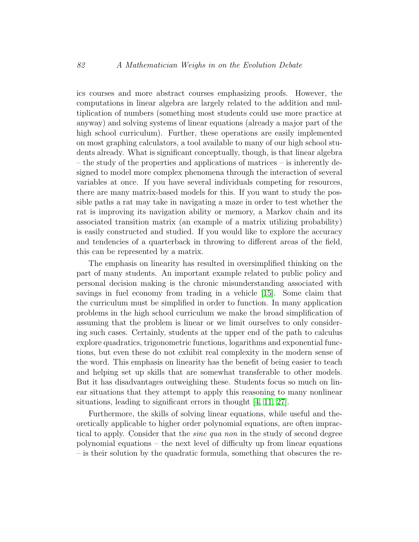ics courses and more abstract courses emphasizing proofs. However, the computations in linear algebra are largely related to the addition and multiplication of numbers (something most students could use more practice at anyway) and solving systems of linear equations (already a major part of the high school curriculum). Further, these operations are easily implemented on most graphing calculators, a tool available to many of our high school students already. What is significant conceptually, though, is that linear algebra – the study of the properties and applications of matrices – is inherently designed to model more complex phenomena through the interaction of several variables at once. If you have several individuals competing for resources, there are many matrix-based models for this. If you want to study the possible paths a rat may take in navigating a maze in order to test whether the rat is improving its navigation ability or memory, a Markov chain and its associated transition matrix (an example of a matrix utilizing probability) is easily constructed and studied. If you would like to explore the accuracy and tendencies of a quarterback in throwing to different areas of the field, this can be represented by a matrix.

The emphasis on linearity has resulted in oversimplified thinking on the part of many students. An important example related to public policy and personal decision making is the chronic misunderstanding associated with savings in fuel economy from trading in a vehicle [\[15\]](#page-20-6). Some claim that the curriculum must be simplified in order to function. In many application problems in the high school curriculum we make the broad simplification of assuming that the problem is linear or we limit ourselves to only considering such cases. Certainly, students at the upper end of the path to calculus explore quadratics, trigonometric functions, logarithms and exponential functions, but even these do not exhibit real complexity in the modern sense of the word. This emphasis on linearity has the benefit of being easier to teach and helping set up skills that are somewhat transferable to other models. But it has disadvantages outweighing these. Students focus so much on linear situations that they attempt to apply this reasoning to many nonlinear situations, leading to significant errors in thought [\[4,](#page-19-3) [11,](#page-19-4) [27\]](#page-21-2).

Furthermore, the skills of solving linear equations, while useful and theoretically applicable to higher order polynomial equations, are often impractical to apply. Consider that the *sine qua non* in the study of second degree polynomial equations – the next level of difficulty up from linear equations – is their solution by the quadratic formula, something that obscures the re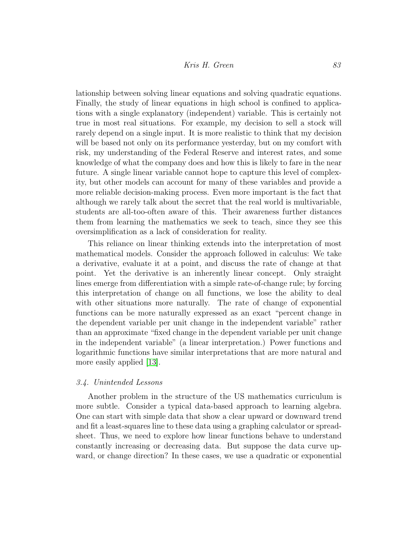lationship between solving linear equations and solving quadratic equations. Finally, the study of linear equations in high school is confined to applications with a single explanatory (independent) variable. This is certainly not true in most real situations. For example, my decision to sell a stock will rarely depend on a single input. It is more realistic to think that my decision will be based not only on its performance yesterday, but on my comfort with risk, my understanding of the Federal Reserve and interest rates, and some knowledge of what the company does and how this is likely to fare in the near future. A single linear variable cannot hope to capture this level of complexity, but other models can account for many of these variables and provide a more reliable decision-making process. Even more important is the fact that although we rarely talk about the secret that the real world is multivariable, students are all-too-often aware of this. Their awareness further distances them from learning the mathematics we seek to teach, since they see this oversimplification as a lack of consideration for reality.

This reliance on linear thinking extends into the interpretation of most mathematical models. Consider the approach followed in calculus: We take a derivative, evaluate it at a point, and discuss the rate of change at that point. Yet the derivative is an inherently linear concept. Only straight lines emerge from differentiation with a simple rate-of-change rule; by forcing this interpretation of change on all functions, we lose the ability to deal with other situations more naturally. The rate of change of exponential functions can be more naturally expressed as an exact "percent change in the dependent variable per unit change in the independent variable" rather than an approximate "fixed change in the dependent variable per unit change in the independent variable" (a linear interpretation.) Power functions and logarithmic functions have similar interpretations that are more natural and more easily applied [\[13\]](#page-19-5).

#### 3.4. Unintended Lessons

Another problem in the structure of the US mathematics curriculum is more subtle. Consider a typical data-based approach to learning algebra. One can start with simple data that show a clear upward or downward trend and fit a least-squares line to these data using a graphing calculator or spreadsheet. Thus, we need to explore how linear functions behave to understand constantly increasing or decreasing data. But suppose the data curve upward, or change direction? In these cases, we use a quadratic or exponential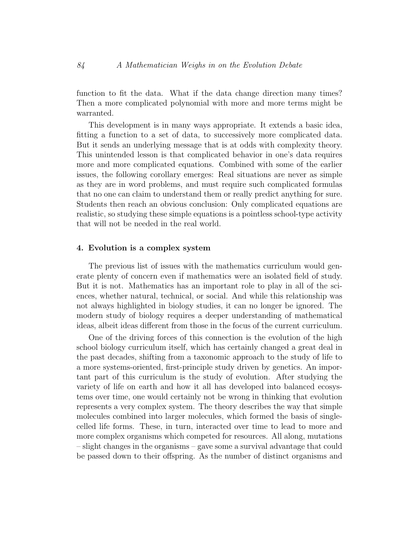function to fit the data. What if the data change direction many times? Then a more complicated polynomial with more and more terms might be warranted.

This development is in many ways appropriate. It extends a basic idea, fitting a function to a set of data, to successively more complicated data. But it sends an underlying message that is at odds with complexity theory. This unintended lesson is that complicated behavior in one's data requires more and more complicated equations. Combined with some of the earlier issues, the following corollary emerges: Real situations are never as simple as they are in word problems, and must require such complicated formulas that no one can claim to understand them or really predict anything for sure. Students then reach an obvious conclusion: Only complicated equations are realistic, so studying these simple equations is a pointless school-type activity that will not be needed in the real world.

# 4. Evolution is a complex system

The previous list of issues with the mathematics curriculum would generate plenty of concern even if mathematics were an isolated field of study. But it is not. Mathematics has an important role to play in all of the sciences, whether natural, technical, or social. And while this relationship was not always highlighted in biology studies, it can no longer be ignored. The modern study of biology requires a deeper understanding of mathematical ideas, albeit ideas different from those in the focus of the current curriculum.

One of the driving forces of this connection is the evolution of the high school biology curriculum itself, which has certainly changed a great deal in the past decades, shifting from a taxonomic approach to the study of life to a more systems-oriented, first-principle study driven by genetics. An important part of this curriculum is the study of evolution. After studying the variety of life on earth and how it all has developed into balanced ecosystems over time, one would certainly not be wrong in thinking that evolution represents a very complex system. The theory describes the way that simple molecules combined into larger molecules, which formed the basis of singlecelled life forms. These, in turn, interacted over time to lead to more and more complex organisms which competed for resources. All along, mutations – slight changes in the organisms – gave some a survival advantage that could be passed down to their offspring. As the number of distinct organisms and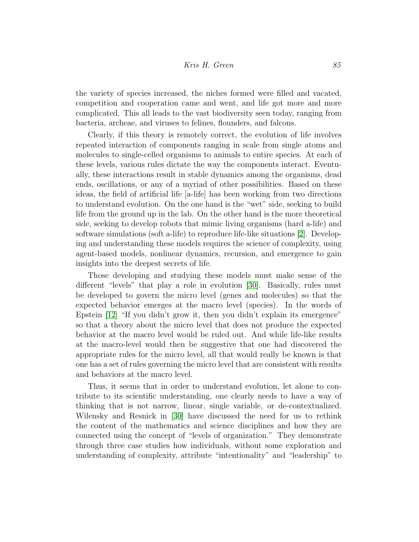# Kris H. Green 85

the variety of species increased, the niches formed were filled and vacated, competition and cooperation came and went, and life got more and more complicated. This all leads to the vast biodiversity seen today, ranging from bacteria, archeae, and viruses to felines, flounders, and falcons.

Clearly, if this theory is remotely correct, the evolution of life involves repeated interaction of components ranging in scale from single atoms and molecules to single-celled organisms to animals to entire species. At each of these levels, various rules dictate the way the components interact. Eventually, these interactions result in stable dynamics among the organisms, dead ends, oscillations, or any of a myriad of other possibilities. Based on these ideas, the field of artificial life [a-life] has been working from two directions to understand evolution. On the one hand is the "wet" side, seeking to build life from the ground up in the lab. On the other hand is the more theoretical side, seeking to develop robots that mimic living organisms (hard a-life) and software simulations (soft a-life) to reproduce life-like situations [\[2\]](#page-18-0). Developing and understanding these models requires the science of complexity, using agent-based models, nonlinear dynamics, recursion, and emergence to gain insights into the deepest secrets of life.

Those developing and studying these models must make sense of the different "levels" that play a role in evolution [\[30\]](#page-21-3). Basically, rules must be developed to govern the micro level (genes and molecules) so that the expected behavior emerges at the macro level (species). In the words of Epstein [\[12\]](#page-19-6) "If you didn't grow it, then you didn't explain its emergence" so that a theory about the micro level that does not produce the expected behavior at the macro level would be ruled out. And while life-like results at the macro-level would then be suggestive that one had discovered the appropriate rules for the micro level, all that would really be known is that one has a set of rules governing the micro level that are consistent with results and behaviors at the macro level.

Thus, it seems that in order to understand evolution, let alone to contribute to its scientific understanding, one clearly needs to have a way of thinking that is not narrow, linear, single variable, or de-contextualized. Wilensky and Resnick in [\[30\]](#page-21-3) have discussed the need for us to rethink the content of the mathematics and science disciplines and how they are connected using the concept of "levels of organization." They demonstrate through three case studies how individuals, without some exploration and understanding of complexity, attribute "intentionality" and "leadership" to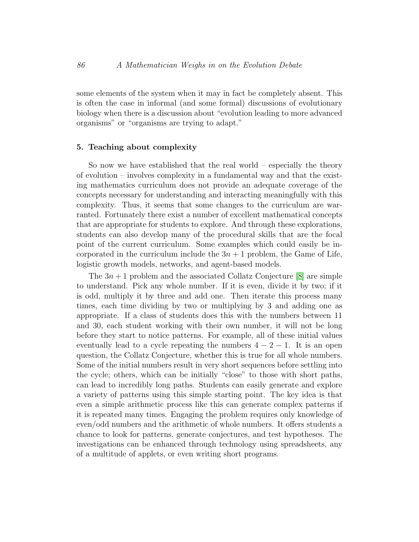some elements of the system when it may in fact be completely absent. This is often the case in informal (and some formal) discussions of evolutionary biology when there is a discussion about "evolution leading to more advanced organisms" or "organisms are trying to adapt."

## 5. Teaching about complexity

So now we have established that the real world – especially the theory of evolution – involves complexity in a fundamental way and that the existing mathematics curriculum does not provide an adequate coverage of the concepts necessary for understanding and interacting meaningfully with this complexity. Thus, it seems that some changes to the curriculum are warranted. Fortunately there exist a number of excellent mathematical concepts that are appropriate for students to explore. And through these explorations, students can also develop many of the procedural skills that are the focal point of the current curriculum. Some examples which could easily be incorporated in the curriculum include the  $3n + 1$  problem, the Game of Life, logistic growth models, networks, and agent-based models.

The  $3n + 1$  problem and the associated Collatz Conjecture [\[8\]](#page-19-7) are simple to understand. Pick any whole number. If it is even, divide it by two; if it is odd, multiply it by three and add one. Then iterate this process many times, each time dividing by two or multiplying by 3 and adding one as appropriate. If a class of students does this with the numbers between 11 and 30, each student working with their own number, it will not be long before they start to notice patterns. For example, all of these initial values eventually lead to a cycle repeating the numbers  $4 - 2 - 1$ . It is an open question, the Collatz Conjecture, whether this is true for all whole numbers. Some of the initial numbers result in very short sequences before settling into the cycle; others, which can be initially "close" to those with short paths, can lead to incredibly long paths. Students can easily generate and explore a variety of patterns using this simple starting point. The key idea is that even a simple arithmetic process like this can generate complex patterns if it is repeated many times. Engaging the problem requires only knowledge of even/odd numbers and the arithmetic of whole numbers. It offers students a chance to look for patterns, generate conjectures, and test hypotheses. The investigations can be enhanced through technology using spreadsheets, any of a multitude of applets, or even writing short programs.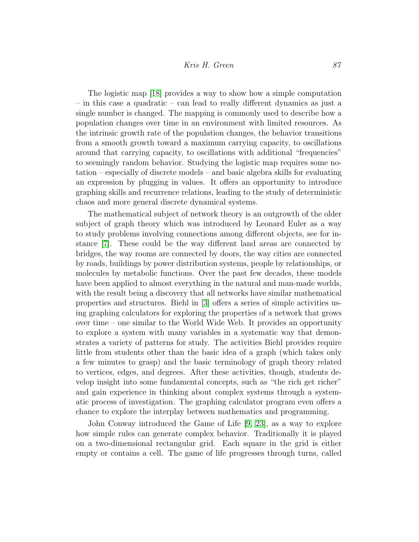The logistic map [\[18\]](#page-20-7) provides a way to show how a simple computation – in this case a quadratic – can lead to really different dynamics as just a single number is changed. The mapping is commonly used to describe how a population changes over time in an environment with limited resources. As the intrinsic growth rate of the population changes, the behavior transitions from a smooth growth toward a maximum carrying capacity, to oscillations around that carrying capacity, to oscillations with additional "frequencies" to seemingly random behavior. Studying the logistic map requires some notation – especially of discrete models – and basic algebra skills for evaluating an expression by plugging in values. It offers an opportunity to introduce graphing skills and recurrence relations, leading to the study of deterministic chaos and more general discrete dynamical systems.

The mathematical subject of network theory is an outgrowth of the older subject of graph theory which was introduced by Leonard Euler as a way to study problems involving connections among different objects, see for instance [\[7\]](#page-19-8). These could be the way different land areas are connected by bridges, the way rooms are connected by doors, the way cities are connected by roads, buildings by power distribution systems, people by relationships, or molecules by metabolic functions. Over the past few decades, these models have been applied to almost everything in the natural and man-made worlds, with the result being a discovery that all networks have similar mathematical properties and structures. Biehl in [\[3\]](#page-18-1) offers a series of simple activities using graphing calculators for exploring the properties of a network that grows over time – one similar to the World Wide Web. It provides an opportunity to explore a system with many variables in a systematic way that demonstrates a variety of patterns for study. The activities Biehl provides require little from students other than the basic idea of a graph (which takes only a few minutes to grasp) and the basic terminology of graph theory related to vertices, edges, and degrees. After these activities, though, students develop insight into some fundamental concepts, such as "the rich get richer" and gain experience in thinking about complex systems through a systematic process of investigation. The graphing calculator program even offers a chance to explore the interplay between mathematics and programming.

John Conway introduced the Game of Life [\[9,](#page-19-9) [23\]](#page-20-8), as a way to explore how simple rules can generate complex behavior. Traditionally it is played on a two-dimensional rectangular grid. Each square in the grid is either empty or contains a cell. The game of life progresses through turns, called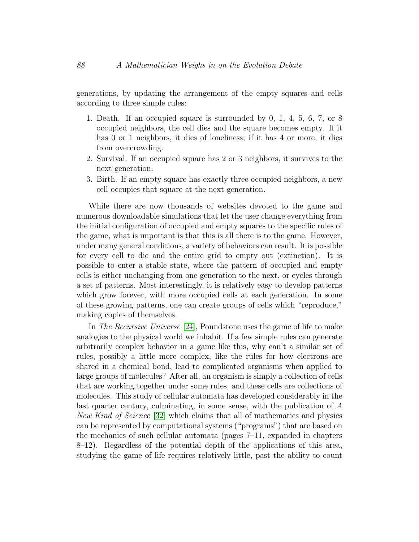generations, by updating the arrangement of the empty squares and cells according to three simple rules:

- 1. Death. If an occupied square is surrounded by 0, 1, 4, 5, 6, 7, or 8 occupied neighbors, the cell dies and the square becomes empty. If it has 0 or 1 neighbors, it dies of loneliness; if it has 4 or more, it dies from overcrowding.
- 2. Survival. If an occupied square has 2 or 3 neighbors, it survives to the next generation.
- 3. Birth. If an empty square has exactly three occupied neighbors, a new cell occupies that square at the next generation.

While there are now thousands of websites devoted to the game and numerous downloadable simulations that let the user change everything from the initial configuration of occupied and empty squares to the specific rules of the game, what is important is that this is all there is to the game. However, under many general conditions, a variety of behaviors can result. It is possible for every cell to die and the entire grid to empty out (extinction). It is possible to enter a stable state, where the pattern of occupied and empty cells is either unchanging from one generation to the next, or cycles through a set of patterns. Most interestingly, it is relatively easy to develop patterns which grow forever, with more occupied cells at each generation. In some of these growing patterns, one can create groups of cells which "reproduce," making copies of themselves.

In The Recursive Universe [\[24\]](#page-20-9), Poundstone uses the game of life to make analogies to the physical world we inhabit. If a few simple rules can generate arbitrarily complex behavior in a game like this, why can't a similar set of rules, possibly a little more complex, like the rules for how electrons are shared in a chemical bond, lead to complicated organisms when applied to large groups of molecules? After all, an organism is simply a collection of cells that are working together under some rules, and these cells are collections of molecules. This study of cellular automata has developed considerably in the last quarter century, culminating, in some sense, with the publication of A New Kind of Science [\[32\]](#page-21-4) which claims that all of mathematics and physics can be represented by computational systems ("programs") that are based on the mechanics of such cellular automata (pages 7–11, expanded in chapters  $8-12$ ). Regardless of the potential depth of the applications of this area, studying the game of life requires relatively little, past the ability to count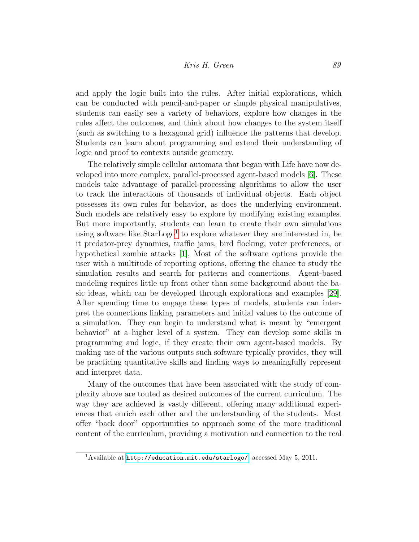# Kris H. Green 89

and apply the logic built into the rules. After initial explorations, which can be conducted with pencil-and-paper or simple physical manipulatives, students can easily see a variety of behaviors, explore how changes in the rules affect the outcomes, and think about how changes to the system itself (such as switching to a hexagonal grid) influence the patterns that develop. Students can learn about programming and extend their understanding of logic and proof to contexts outside geometry.

The relatively simple cellular automata that began with Life have now developed into more complex, parallel-processed agent-based models [\[6\]](#page-19-10). These models take advantage of parallel-processing algorithms to allow the user to track the interactions of thousands of individual objects. Each object possesses its own rules for behavior, as does the underlying environment. Such models are relatively easy to explore by modifying existing examples. But more importantly, students can learn to create their own simulations using software like  $StarLogo<sup>1</sup>$  $StarLogo<sup>1</sup>$  $StarLogo<sup>1</sup>$  to explore whatever they are interested in, be it predator-prey dynamics, traffic jams, bird flocking, voter preferences, or hypothetical zombie attacks [\[1\]](#page-18-2), Most of the software options provide the user with a multitude of reporting options, offering the chance to study the simulation results and search for patterns and connections. Agent-based modeling requires little up front other than some background about the basic ideas, which can be developed through explorations and examples [\[29\]](#page-21-5). After spending time to engage these types of models, students can interpret the connections linking parameters and initial values to the outcome of a simulation. They can begin to understand what is meant by "emergent behavior" at a higher level of a system. They can develop some skills in programming and logic, if they create their own agent-based models. By making use of the various outputs such software typically provides, they will be practicing quantitative skills and finding ways to meaningfully represent and interpret data.

Many of the outcomes that have been associated with the study of complexity above are touted as desired outcomes of the current curriculum. The way they are achieved is vastly different, offering many additional experiences that enrich each other and the understanding of the students. Most offer "back door" opportunities to approach some of the more traditional content of the curriculum, providing a motivation and connection to the real

<span id="page-15-0"></span><sup>1</sup>Available at <http://education.mit.edu/starlogo/>, accessed May 5, 2011.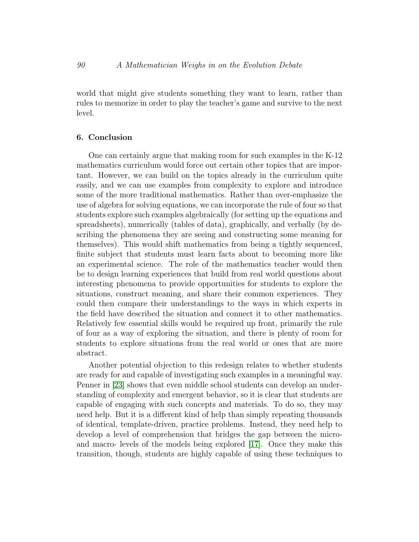world that might give students something they want to learn, rather than rules to memorize in order to play the teacher's game and survive to the next level.

# 6. Conclusion

One can certainly argue that making room for such examples in the K-12 mathematics curriculum would force out certain other topics that are important. However, we can build on the topics already in the curriculum quite easily, and we can use examples from complexity to explore and introduce some of the more traditional mathematics. Rather than over-emphasize the use of algebra for solving equations, we can incorporate the rule of four so that students explore such examples algebraically (for setting up the equations and spreadsheets), numerically (tables of data), graphically, and verbally (by describing the phenomena they are seeing and constructing some meaning for themselves). This would shift mathematics from being a tightly sequenced, finite subject that students must learn facts about to becoming more like an experimental science. The role of the mathematics teacher would then be to design learning experiences that build from real world questions about interesting phenomena to provide opportunities for students to explore the situations, construct meaning, and share their common experiences. They could then compare their understandings to the ways in which experts in the field have described the situation and connect it to other mathematics. Relatively few essential skills would be required up front, primarily the rule of four as a way of exploring the situation, and there is plenty of room for students to explore situations from the real world or ones that are more abstract.

Another potential objection to this redesign relates to whether students are ready for and capable of investigating such examples in a meaningful way. Penner in [\[23\]](#page-20-8) shows that even middle school students can develop an understanding of complexity and emergent behavior, so it is clear that students are capable of engaging with such concepts and materials. To do so, they may need help. But it is a different kind of help than simply repeating thousands of identical, template-driven, practice problems. Instead, they need help to develop a level of comprehension that bridges the gap between the microand macro- levels of the models being explored [\[17\]](#page-20-10). Once they make this transition, though, students are highly capable of using these techniques to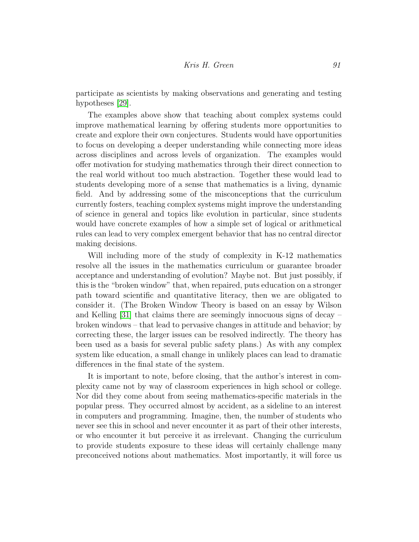participate as scientists by making observations and generating and testing hypotheses [\[29\]](#page-21-5).

The examples above show that teaching about complex systems could improve mathematical learning by offering students more opportunities to create and explore their own conjectures. Students would have opportunities to focus on developing a deeper understanding while connecting more ideas across disciplines and across levels of organization. The examples would offer motivation for studying mathematics through their direct connection to the real world without too much abstraction. Together these would lead to students developing more of a sense that mathematics is a living, dynamic field. And by addressing some of the misconceptions that the curriculum currently fosters, teaching complex systems might improve the understanding of science in general and topics like evolution in particular, since students would have concrete examples of how a simple set of logical or arithmetical rules can lead to very complex emergent behavior that has no central director making decisions.

Will including more of the study of complexity in K-12 mathematics resolve all the issues in the mathematics curriculum or guarantee broader acceptance and understanding of evolution? Maybe not. But just possibly, if this is the "broken window" that, when repaired, puts education on a stronger path toward scientific and quantitative literacy, then we are obligated to consider it. (The Broken Window Theory is based on an essay by Wilson and Kelling  $[31]$  that claims there are seemingly innocuous signs of decay – broken windows – that lead to pervasive changes in attitude and behavior; by correcting these, the larger issues can be resolved indirectly. The theory has been used as a basis for several public safety plans.) As with any complex system like education, a small change in unlikely places can lead to dramatic differences in the final state of the system.

It is important to note, before closing, that the author's interest in complexity came not by way of classroom experiences in high school or college. Nor did they come about from seeing mathematics-specific materials in the popular press. They occurred almost by accident, as a sideline to an interest in computers and programming. Imagine, then, the number of students who never see this in school and never encounter it as part of their other interests, or who encounter it but perceive it as irrelevant. Changing the curriculum to provide students exposure to these ideas will certainly challenge many preconceived notions about mathematics. Most importantly, it will force us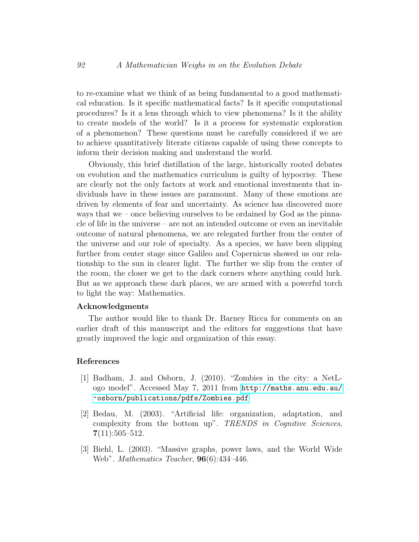to re-examine what we think of as being fundamental to a good mathematical education. Is it specific mathematical facts? Is it specific computational procedures? Is it a lens through which to view phenomena? Is it the ability to create models of the world? Is it a process for systematic exploration of a phenomenon? These questions must be carefully considered if we are to achieve quantitatively literate citizens capable of using these concepts to inform their decision making and understand the world.

Obviously, this brief distillation of the large, historically rooted debates on evolution and the mathematics curriculum is guilty of hypocrisy. These are clearly not the only factors at work and emotional investments that individuals have in these issues are paramount. Many of these emotions are driven by elements of fear and uncertainty. As science has discovered more ways that we – once believing ourselves to be ordained by God as the pinnacle of life in the universe – are not an intended outcome or even an inevitable outcome of natural phenomena, we are relegated further from the center of the universe and our role of specialty. As a species, we have been slipping further from center stage since Galileo and Copernicus showed us our relationship to the sun in clearer light. The further we slip from the center of the room, the closer we get to the dark corners where anything could lurk. But as we approach these dark places, we are armed with a powerful torch to light the way: Mathematics.

## Acknowledgments

The author would like to thank Dr. Barney Ricca for comments on an earlier draft of this manuscript and the editors for suggestions that have greatly improved the logic and organization of this essay.

#### References

- <span id="page-18-2"></span>[1] Badham, J. and Osborn, J. (2010). "Zombies in the city: a NetLogo model". Accessed May 7, 2011 from [http://maths.anu.edu.au/](http://maths.anu.edu.au/~osborn/publications/pdfs/Zombies.pdf) [~osborn/publications/pdfs/Zombies.pdf](http://maths.anu.edu.au/~osborn/publications/pdfs/Zombies.pdf)
- <span id="page-18-0"></span>[2] Bedau, M. (2003). "Artificial life: organization, adaptation, and complexity from the bottom up". TRENDS in Cognitive Sciences,  $7(11):505-512.$
- <span id="page-18-1"></span>[3] Biehl, L. (2003). "Massive graphs, power laws, and the World Wide Web". Mathematics Teacher, 96(6):434–446.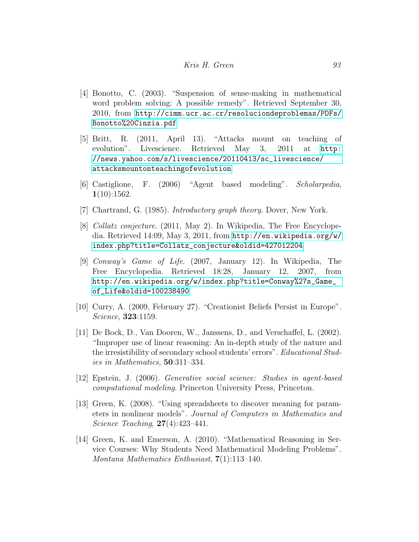- <span id="page-19-3"></span>[4] Bonotto, C. (2003). "Suspension of sense-making in mathematical word problem solving: A possible remedy". Retrieved September 30, 2010, from [http://cimm.ucr.ac.cr/resoluciondeproblemas/PDFs/](http://cimm.ucr.ac.cr/resoluciondeproblemas/PDFs/Bonotto%20Cinzia.pdf) [Bonotto%20Cinzia.pdf](http://cimm.ucr.ac.cr/resoluciondeproblemas/PDFs/Bonotto%20Cinzia.pdf)
- <span id="page-19-0"></span>[5] Britt, R. (2011, April 13). "Attacks mount on teaching of evolution". Livescience. Retrieved May 3, 2011 at [http:](http://news.yahoo.com/s/livescience/20110413/sc_livescience/ attacksmountonteachingofevolution) [//news.yahoo.com/s/livescience/20110413/sc\\_livescience/](http://news.yahoo.com/s/livescience/20110413/sc_livescience/ attacksmountonteachingofevolution) [attacksmountonteachingofevolution](http://news.yahoo.com/s/livescience/20110413/sc_livescience/ attacksmountonteachingofevolution)
- <span id="page-19-10"></span>[6] Castiglione, F. (2006) "Agent based modeling". Scholarpedia,  $1(10):1562.$
- <span id="page-19-8"></span>[7] Chartrand, G. (1985). *Introductory graph theory*. Dover, New York.
- <span id="page-19-7"></span>[8] Collatz conjecture. (2011, May 2). In Wikipedia, The Free Encyclopedia. Retrieved 14:09, May 3, 2011, from [http://en.wikipedia.org/w/](http://en.wikipedia.org/w/index.php?title=Collatz_conjecture&oldid=427012204) [index.php?title=Collatz\\_conjecture&oldid=427012204](http://en.wikipedia.org/w/index.php?title=Collatz_conjecture&oldid=427012204)
- <span id="page-19-9"></span>[9] Conway's Game of Life. (2007, January 12). In Wikipedia, The Free Encyclopedia. Retrieved 18:28, January 12, 2007, from [http://en.wikipedia.org/w/index.php?title=Conway%27s\\_Game\\_](http://en.wikipedia.org/w/index.php?title=Conway%27s_Game_of_Life&oldid=100238490) [of\\_Life&oldid=100238490](http://en.wikipedia.org/w/index.php?title=Conway%27s_Game_of_Life&oldid=100238490)
- <span id="page-19-1"></span>[10] Curry, A. (2009, February 27). "Creationist Beliefs Persist in Europe". Science, 323:1159.
- <span id="page-19-4"></span>[11] De Bock, D., Van Dooren, W., Janssens, D., and Verschaffel, L. (2002). "Improper use of linear reasoning: An in-depth study of the nature and the irresistibility of secondary school students' errors". Educational Studies in Mathematics, 50:311–334.
- <span id="page-19-6"></span>[12] Epstein, J. (2006). Generative social science: Studies in agent-based computational modeling. Princeton University Press, Princeton.
- <span id="page-19-5"></span>[13] Green, K. (2008). "Using spreadsheets to discover meaning for parameters in nonlinear models". Journal of Computers in Mathematics and Science Teaching, 27(4):423–441.
- <span id="page-19-2"></span>[14] Green, K. and Emerson, A. (2010). "Mathematical Reasoning in Service Courses: Why Students Need Mathematical Modeling Problems". Montana Mathematics Enthusiast, 7(1):113–140.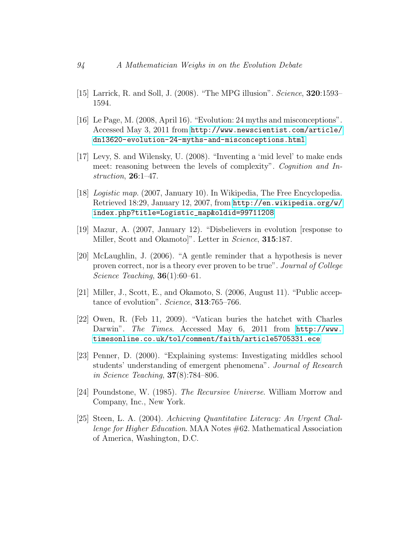- <span id="page-20-6"></span>[15] Larrick, R. and Soll, J. (2008). "The MPG illusion". Science, **320**:1593– 1594.
- <span id="page-20-4"></span>[16] Le Page, M. (2008, April 16). "Evolution: 24 myths and misconceptions". Accessed May 3, 2011 from [http://www.newscientist.com/article/](http://www.newscientist.com/article/dn13620-evolution-24-myths-and-misconceptions.html) [dn13620-evolution-24-myths-and-misconceptions.html](http://www.newscientist.com/article/dn13620-evolution-24-myths-and-misconceptions.html)
- <span id="page-20-10"></span>[17] Levy, S. and Wilensky, U. (2008). "Inventing a 'mid level' to make ends meet: reasoning between the levels of complexity". Cognition and Instruction, 26:1–47.
- <span id="page-20-7"></span>[18] Logistic map. (2007, January 10). In Wikipedia, The Free Encyclopedia. Retrieved 18:29, January 12, 2007, from [http://en.wikipedia.org/w/](http://en.wikipedia.org/w/index.php?title=Logistic_map&oldid=99711208) [index.php?title=Logistic\\_map&oldid=99711208](http://en.wikipedia.org/w/index.php?title=Logistic_map&oldid=99711208)
- <span id="page-20-0"></span>[19] Mazur, A. (2007, January 12). "Disbelievers in evolution [response to Miller, Scott and Okamoto]". Letter in *Science*, **315**:187.
- <span id="page-20-3"></span>[20] McLaughlin, J. (2006). "A gentle reminder that a hypothesis is never proven correct, nor is a theory ever proven to be true". Journal of College Science Teaching,  $36(1):60-61$ .
- <span id="page-20-1"></span>[21] Miller, J., Scott, E., and Okamoto, S. (2006, August 11). "Public acceptance of evolution". Science, 313:765–766.
- <span id="page-20-2"></span>[22] Owen, R. (Feb 11, 2009). "Vatican buries the hatchet with Charles Darwin". The Times. Accessed May 6, 2011 from [http://www.](http://www.timesonline.co.uk/tol/comment/faith/article5705331.ece) [timesonline.co.uk/tol/comment/faith/article5705331.ece](http://www.timesonline.co.uk/tol/comment/faith/article5705331.ece)
- <span id="page-20-8"></span>[23] Penner, D. (2000). "Explaining systems: Investigating middles school students' understanding of emergent phenomena". Journal of Research in Science Teaching, 37(8):784–806.
- <span id="page-20-9"></span>[24] Poundstone, W. (1985). The Recursive Universe. William Morrow and Company, Inc., New York.
- <span id="page-20-5"></span>[25] Steen, L. A. (2004). Achieving Quantitative Literacy: An Urgent Challenge for Higher Education. MAA Notes #62. Mathematical Association of America, Washington, D.C.